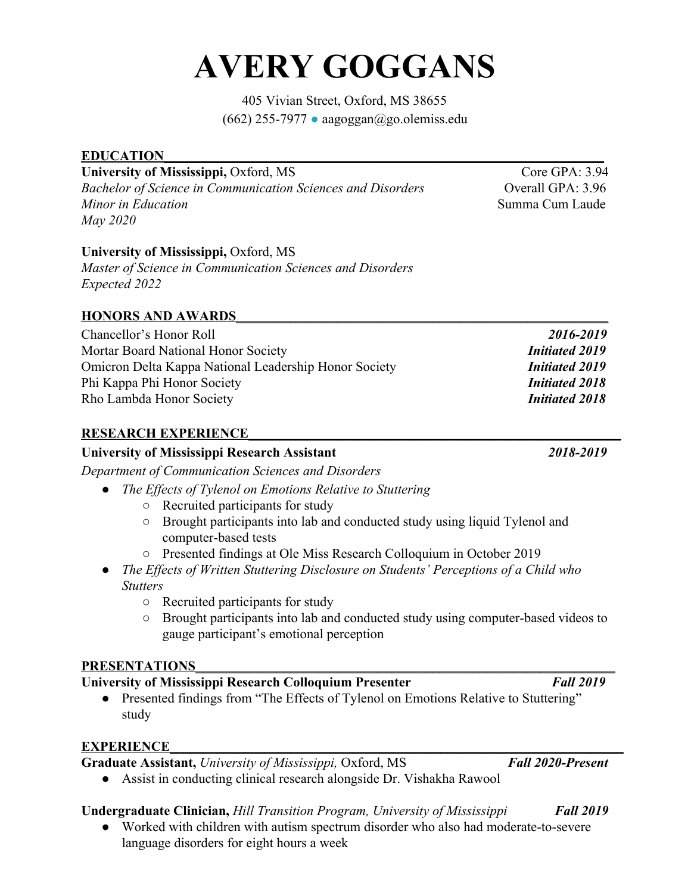# **AVERY GOGGANS**

405 Vivian Street, Oxford, MS 38655  $(662)$  255-7977 • aagoggan@go.olemiss.edu

### **EDUCATION**

## **University of Mississippi,** Oxford, MS Core GPA: 3.94

*Bachelor of Science in Communication Sciences and Disorders* **Conservation Conservation GPA: 3.96** *Minor in Education* **Summa Cum Laude Summa Cum Laude Summa Cum Laude** *May 2020*

## **University of Mississippi,** Oxford, MS

*Master of Science in Communication Sciences and Disorders Expected 2022*

### **HONORS AND AWARDS\_\_\_\_\_\_\_\_\_\_\_\_\_\_\_\_\_\_\_\_\_\_\_\_\_\_\_\_\_\_\_\_\_\_\_\_\_\_\_\_\_\_\_\_\_\_\_\_\_\_\_\_\_\_\_**

| 2016-2019             |
|-----------------------|
| <b>Initiated 2019</b> |
| <b>Initiated 2019</b> |
| <b>Initiated 2018</b> |
| <b>Initiated 2018</b> |
|                       |

### **RESEARCH EXPERIENCE\_\_\_\_\_\_\_\_\_\_\_\_\_\_\_\_\_\_\_\_\_\_\_\_\_\_\_\_\_\_\_\_\_\_\_\_\_\_\_\_\_\_\_\_\_\_\_\_\_\_\_\_\_\_\_**

## **University of Mississippi Research Assistant** *2018-2019*

*Department of Communication Sciences and Disorders*

- *● The Effects of Tylenol on Emotions Relative to Stuttering*
	- Recruited participants for study
	- Brought participants into lab and conducted study using liquid Tylenol and computer-based tests
	- Presented findings at Ole Miss Research Colloquium in October 2019
- *● The Effects of Written Stuttering Disclosure on Students' Perceptions of a Child who Stutters*
	- Recruited participants for study
	- Brought participants into lab and conducted study using computer-based videos to gauge participant's emotional perception

### PRESENTATIONS

## **University of Mississippi Research Colloquium Presenter** *Fall 2019*

• Presented findings from "The Effects of Tylenol on Emotions Relative to Stuttering" study

## **EXPERIENCE**

**Graduate Assistant,** *University of Mississippi,* Oxford, MS *Fall 2020-Present*

- 
- Assist in conducting clinical research alongside Dr. Vishakha Rawool

## **Undergraduate Clinician,** *Hill Transition Program, University of Mississippi Fall 2019*

● Worked with children with autism spectrum disorder who also had moderate-to-severe language disorders for eight hours a week